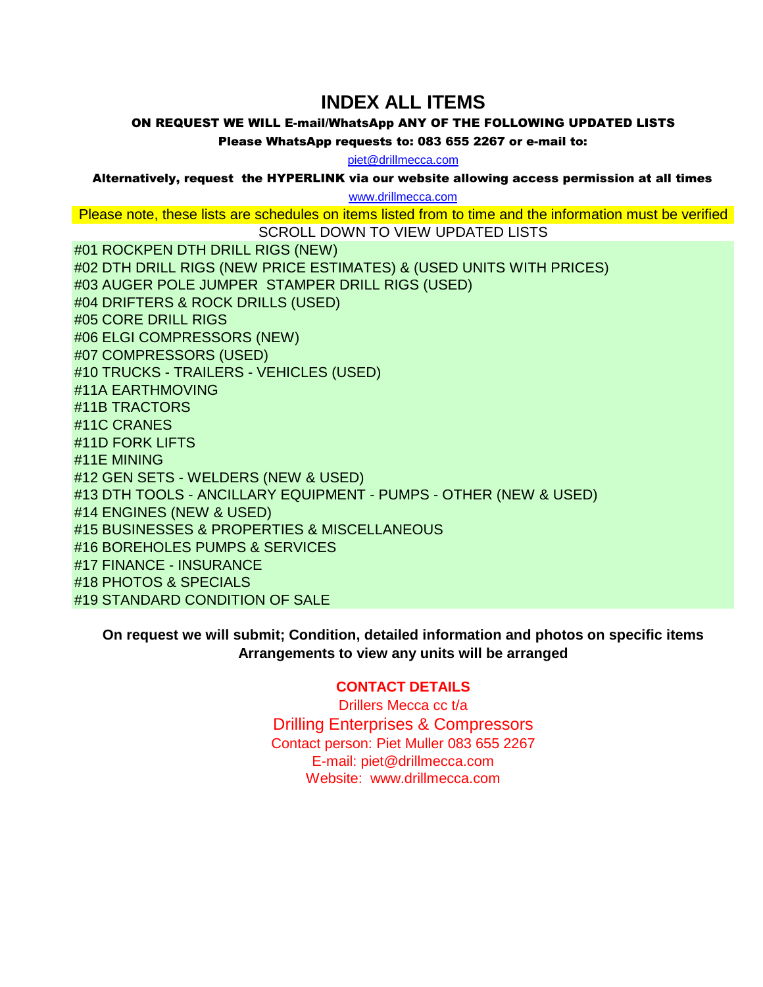## **INDEX ALL ITEMS**

ON REQUEST WE WILL E-mail/WhatsApp ANY OF THE FOLLOWING UPDATED LISTS

Please WhatsApp requests to: 083 655 2267 or e-mail to:

piet@drillmecca.com

Alternatively, request the HYPERLINK via our website allowing access permission at all times

www.drillmecca.com

Please note, these lists are schedules on items listed from to time and the information must be verified

SCROLL DOWN TO VIEW UPDATED LISTS #01 ROCKPEN DTH DRILL RIGS (NEW) #02 DTH DRILL RIGS (NEW PRICE ESTIMATES) & (USED UNITS WITH PRICES) #03 AUGER POLE JUMPER STAMPER DRILL RIGS (USED) #04 DRIFTERS & ROCK DRILLS (USED) #05 CORE DRILL RIGS #06 ELGI COMPRESSORS (NEW) #07 COMPRESSORS (USED) #10 TRUCKS - TRAILERS - VEHICLES (USED) #11A EARTHMOVING #11B TRACTORS #11C CRANES #11D FORK LIFTS #11E MINING #12 GEN SETS - WELDERS (NEW & USED) #13 DTH TOOLS - ANCILLARY EQUIPMENT - PUMPS - OTHER (NEW & USED) #14 ENGINES (NEW & USED) #15 BUSINESSES & PROPERTIES & MISCELLANEOUS #16 BOREHOLES PUMPS & SERVICES #17 FINANCE - INSURANCE #18 PHOTOS & SPECIALS #19 STANDARD CONDITION OF SALE

**On request we will submit; Condition, detailed information and photos on specific items Arrangements to view any units will be arranged**

## **CONTACT DETAILS**

Drillers Mecca cc t/a Drilling Enterprises & Compressors Contact person: Piet Muller 083 655 2267 E-mail: piet@drillmecca.com Website: www.drillmecca.com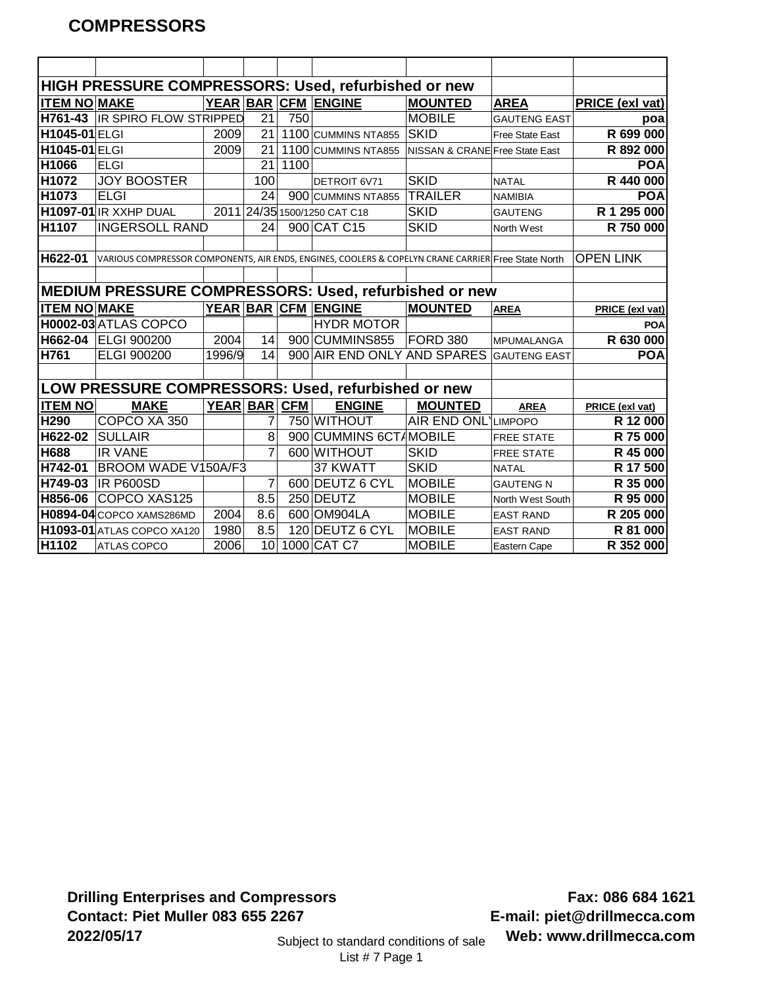|                      | HIGH PRESSURE COMPRESSORS: Used, refurbished or new                                                |              |                 |      |                              |                                |                     |                  |
|----------------------|----------------------------------------------------------------------------------------------------|--------------|-----------------|------|------------------------------|--------------------------------|---------------------|------------------|
| <b>ITEM NO MAKE</b>  |                                                                                                    |              |                 |      | YEAR BAR CFM ENGINE          | <b>MOUNTED</b>                 | <b>AREA</b>         | PRICE (exl vat)  |
| H761-43              | <b>IR SPIRO FLOW STRIPPED</b>                                                                      |              | 21              | 750  |                              | <b>MOBILE</b>                  | <b>GAUTENG EAST</b> | poa              |
| H1045-01 ELGI        |                                                                                                    | 2009         | 21              |      | 1100 CUMMINS NTA855          | <b>SKID</b>                    | Free State East     | R 699 000        |
| <b>H1045-01 ELGI</b> |                                                                                                    | 2009         | 21              |      | 1100 CUMMINS NTA855          | NISSAN & CRANE Free State East |                     | R 892 000        |
| H1066                | <b>ELGI</b>                                                                                        |              | 21              | 1100 |                              |                                |                     | <b>POA</b>       |
| H1072                | <b>JOY BOOSTER</b>                                                                                 |              | 100             |      | DETROIT 6V71                 | <b>SKID</b>                    | <b>NATAL</b>        | R 440 000        |
| H1073                | <b>ELGI</b>                                                                                        |              | 24              |      | 900 CUMMINS NTA855           | <b>TRAILER</b>                 | <b>NAMIBIA</b>      | <b>POA</b>       |
|                      | H1097-01 IR XXHP DUAL                                                                              |              |                 |      | 2011 24/35 1500/1250 CAT C18 | <b>SKID</b>                    | <b>GAUTENG</b>      | R 1 295 000      |
| H1107                | <b>INGERSOLL RAND</b>                                                                              |              | 24              |      | 900 CAT C15                  | <b>SKID</b>                    | North West          | R 750 000        |
|                      |                                                                                                    |              |                 |      |                              |                                |                     |                  |
| H622-01              | VARIOUS COMPRESSOR COMPONENTS, AIR ENDS, ENGINES, COOLERS & COPELYN CRANE CARRIER Free State North |              |                 |      |                              |                                |                     | <b>OPEN LINK</b> |
|                      |                                                                                                    |              |                 |      |                              |                                |                     |                  |
|                      | MEDIUM PRESSURE COMPRESSORS: Used, refurbished or new                                              |              |                 |      |                              |                                |                     |                  |
| <b>ITEM NO MAKE</b>  |                                                                                                    |              |                 |      | YEAR BAR CFM ENGINE          | <b>MOUNTED</b>                 | <b>AREA</b>         | PRICE (exl vat)  |
|                      | H0002-03 ATLAS COPCO                                                                               |              |                 |      | <b>HYDR MOTOR</b>            |                                |                     | <b>POA</b>       |
|                      | H662-04 ELGI 900200                                                                                | 2004         | 14              |      | 900 CUMMINS855               | FORD 380                       | MPUMALANGA          | R 630 000        |
| H761                 | ELGI 900200                                                                                        | 1996/9       | 14              |      | 900 AIR END ONLY AND SPARES  |                                | <b>GAUTENG EAST</b> | <b>POA</b>       |
|                      |                                                                                                    |              |                 |      |                              |                                |                     |                  |
|                      | LOW PRESSURE COMPRESSORS: Used, refurbished or new                                                 |              |                 |      |                              |                                |                     |                  |
| <b>ITEM NO</b>       | <b>MAKE</b>                                                                                        | YEAR BAR CFM |                 |      | <b>ENGINE</b>                | <b>MOUNTED</b>                 | <b>AREA</b>         | PRICE (exl vat)  |
| H290                 | COPCO XA 350                                                                                       |              |                 |      | 750 WITHOUT                  | <b>AIR END ONL LIMPOPO</b>     |                     | R 12 000         |
| H622-02              | <b>SULLAIR</b>                                                                                     |              | 8               |      | 900 CUMMINS 6CT/MOBILE       |                                | <b>FREE STATE</b>   | R 75 000         |
| H688                 | <b>IR VANE</b>                                                                                     |              | 7               |      | 600 WITHOUT                  | <b>SKID</b>                    | <b>FREE STATE</b>   | R 45 000         |
| H742-01              | <b>BROOM WADE V150A/F3</b>                                                                         |              |                 |      | 37 KWATT                     | <b>SKID</b>                    | <b>NATAL</b>        | R 17 500         |
| H749-03              | <b>IR P600SD</b>                                                                                   |              | 7               |      | 600 DEUTZ 6 CYL              | <b>MOBILE</b>                  | <b>GAUTENG N</b>    | R 35 000         |
| H856-06              | COPCO XAS125                                                                                       |              | 8.5             |      | 250 DEUTZ                    | <b>MOBILE</b>                  | North West South    | R 95 000         |
|                      | H0894-04 COPCO XAMS286MD                                                                           | 2004         | 8.6             |      | 600 OM904LA                  | <b>MOBILE</b>                  | <b>EAST RAND</b>    | R 205 000        |
|                      | H1093-01 ATLAS COPCO XA120                                                                         | 1980         | 8.5             |      | 120 DEUTZ 6 CYL              | <b>MOBILE</b>                  | <b>EAST RAND</b>    | R 81 000         |
| H1102                | ATLAS COPCO                                                                                        | 2006         | 10 <sup>1</sup> |      | 1000 CAT C7                  | <b>MOBILE</b>                  | Eastern Cape        | R 352 000        |

**Drilling Enterprises and Compressors Contact: Piet Muller 083 655 2267 2022/05/17** Subject to standard conditions of sale

**Fax: 086 684 1621 E-mail: piet@drillmecca.com Web: www.drillmecca.com**

List # 7 Page 1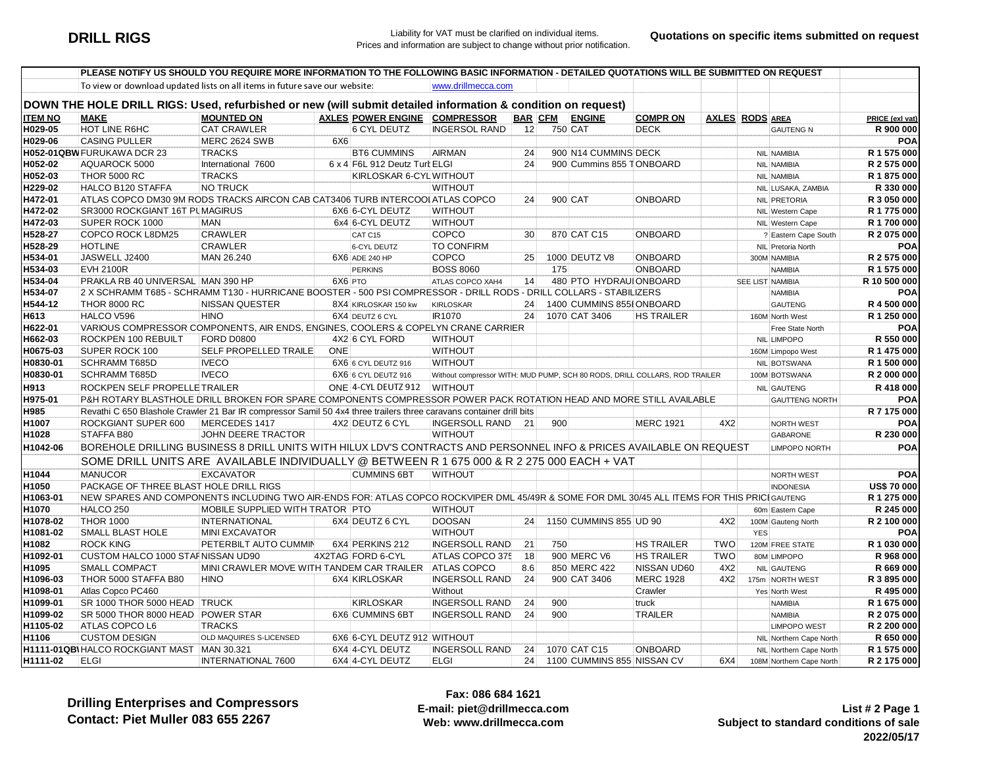|                    | PLEASE NOTIFY US SHOULD YOU REQUIRE MORE INFORMATION TO THE FOLLOWING BASIC INFORMATION - DETAILED QUOTATIONS WILL BE SUBMITTED ON REQUEST               |                                                       |         |                                         |                                   |                |     |                                            |                                                                            |            |                          |                            |
|--------------------|----------------------------------------------------------------------------------------------------------------------------------------------------------|-------------------------------------------------------|---------|-----------------------------------------|-----------------------------------|----------------|-----|--------------------------------------------|----------------------------------------------------------------------------|------------|--------------------------|----------------------------|
|                    | To view or download updated lists on all items in future save our website:                                                                               |                                                       |         |                                         | www.drillmecca.com                |                |     |                                            |                                                                            |            |                          |                            |
|                    | DOWN THE HOLE DRILL RIGS: Used, refurbished or new (will submit detailed information & condition on request)                                             |                                                       |         |                                         |                                   |                |     |                                            |                                                                            |            |                          |                            |
| <b>ITEM NO</b>     |                                                                                                                                                          |                                                       |         |                                         |                                   |                |     |                                            |                                                                            |            |                          |                            |
| H029-05            | <b>MAKE</b>                                                                                                                                              | <b>MOUNTED ON</b>                                     |         | AXLES POWER ENGINE COMPRESSOR           |                                   | <b>BAR CFM</b> |     | <b>ENGINE</b>                              | <b>COMPR ON</b>                                                            |            | <b>AXLES RODS AREA</b>   | PRICE (exl vat)            |
| H029-06            | HOT LINE R6HC                                                                                                                                            | <b>CAT CRAWLER</b>                                    |         | <b>6 CYL DEUTZ</b>                      | <b>INGERSOL RAND</b>              | 12             |     | 750 CAT                                    | <b>DECK</b>                                                                |            | <b>GAUTENG N</b>         | R 900 000                  |
|                    | <b>CASING PULLER</b>                                                                                                                                     | <b>MERC 2624 SWB</b><br><b>TRACKS</b>                 | 6X6     | <b>BT6 CUMMINS</b>                      | <b>AIRMAN</b>                     | 24             |     | 900 N14 CUMMINS DECK                       |                                                                            |            |                          | POA                        |
| H052-02            | H052-01QBW FURUKAWA DCR 23                                                                                                                               |                                                       |         |                                         |                                   | 24             |     |                                            |                                                                            |            | <b>NIL NAMIBIA</b>       | R 1 575 000<br>R 2 575 000 |
|                    | AQUAROCK 5000                                                                                                                                            | International 7600                                    |         | 6 x 4 F6L 912 Deutz Turt ELGI           |                                   |                |     | 900 Cummins 855 TONBOARD                   |                                                                            |            | NIL NAMIBIA              |                            |
| H052-03            | <b>THOR 5000 RC</b>                                                                                                                                      | <b>TRACKS</b>                                         |         | KIRLOSKAR 6-CYLWITHOUT                  |                                   |                |     |                                            |                                                                            |            | <b>NIL NAMIBIA</b>       | R 1875 000                 |
| H229-02            | HALCO B120 STAFFA                                                                                                                                        | <b>NO TRUCK</b>                                       |         |                                         | <b>WITHOUT</b>                    | 24             |     |                                            | <b>ONBOARD</b>                                                             |            | NIL LUSAKA, ZAMBIA       | R 330 000                  |
| H472-01            | ATLAS COPCO DM30 9M RODS TRACKS AIRCON CAB CAT3406 TURB INTERCOOI ATLAS COPCO<br>SR3000 ROCKGIANT 16T PUMAGIRUS                                          |                                                       |         | 6X6 6-CYL DEUTZ                         | <b>WITHOUT</b>                    |                |     | 900 CAT                                    |                                                                            |            | NIL PRETORIA             | R 3 050 000                |
| H472-02<br>H472-03 | SUPER ROCK 1000                                                                                                                                          | <b>MAN</b>                                            |         | 6x4 6-CYL DEUTZ                         | <b>WITHOUT</b>                    |                |     |                                            |                                                                            |            | NIL Western Cape         | R 1 775 000<br>R 1700 000  |
|                    |                                                                                                                                                          |                                                       |         |                                         |                                   |                |     | 870 CAT C15                                | <b>ONBOARD</b>                                                             |            | NIL Western Cape         |                            |
| H528-27            | COPCO ROCK L8DM25<br><b>HOTLINE</b>                                                                                                                      | <b>CRAWLER</b>                                        |         | CAT C15                                 | COPCO                             | 30             |     |                                            |                                                                            |            | ? Eastern Cape South     | R 2 075 000                |
| H528-29            |                                                                                                                                                          | CRAWLER                                               |         | <b>6-CYL DEUTZ</b>                      | <b>TO CONFIRM</b>                 |                |     |                                            | <b>ONBOARD</b>                                                             |            | NIL Pretoria North       | <b>POA</b>                 |
| H534-01            | JASWELL J2400<br><b>EVH 2100R</b>                                                                                                                        | MAN 26.240                                            |         | 6X6 ADE 240 HP                          | COPCO                             | 25             |     | 1000 DEUTZ V8                              | <b>ONBOARD</b>                                                             |            | 300M NAMIBIA             | R 2 575 000                |
| H534-03            |                                                                                                                                                          |                                                       |         | <b>PERKINS</b>                          | <b>BOSS 8060</b>                  |                | 175 |                                            |                                                                            |            | <b>NAMIBIA</b>           | R 1 575 000                |
| H534-04            | PRAKLA RB 40 UNIVERSAL MAN 390 HP<br>2 X SCHRAMM T685 - SCHRAMM T130 - HURRICANE BOOSTER - 500 PSI COMPRESSOR - DRILL RODS - DRILL COLLARS - STABILIZERS |                                                       | 6X6 PTO |                                         | ATLAS COPCO XAH4                  | 14             |     | 480 PTO HYDRAUI ONBOARD                    |                                                                            |            | SEE LIST NAMIBIA         | R 10 500 000<br>POA        |
| H534-07            |                                                                                                                                                          |                                                       |         |                                         |                                   | 24             |     |                                            |                                                                            |            | NAMIBIA                  |                            |
| H544-12<br>H613    | <b>THOR 8000 RC</b><br>HALCO V596                                                                                                                        | <b>NISSAN QUESTER</b><br><b>HINO</b>                  |         | 8X4 KIRLOSKAR 150 kw<br>6X4 DEUTZ 6 CYL | <b>KIRLOSKAR</b><br><b>IR1070</b> | 24             |     | 1400 CUMMINS 855I ONBOARD<br>1070 CAT 3406 |                                                                            |            | <b>GAUTENG</b>           | R 4 500 000                |
| H622-01            | VARIOUS COMPRESSOR COMPONENTS, AIR ENDS, ENGINES, COOLERS & COPELYN CRANE CARRIER                                                                        |                                                       |         |                                         |                                   |                |     |                                            | <b>HS TRAILER</b>                                                          |            | 160M North West          | R 1 250 000<br><b>POA</b>  |
| H662-03            | ROCKPEN 100 REBUILT                                                                                                                                      | <b>FORD D0800</b>                                     |         |                                         | <b>WITHOUT</b>                    |                |     |                                            |                                                                            |            | Free State North         | R 550 000                  |
| H0675-03           | SUPER ROCK 100                                                                                                                                           | SELF PROPELLED TRAILE                                 | ONE     | 4X2 6 CYL FORD                          | <b>WITHOUT</b>                    |                |     |                                            |                                                                            |            | NIL LIMPOPO              | R 1 475 000                |
| H0830-01           | <b>SCHRAMM T685D</b>                                                                                                                                     | <b>IVECO</b>                                          |         | 6X6 6 CYL DEUTZ 916                     | <b>WITHOUT</b>                    |                |     |                                            |                                                                            |            | 160M Limpopo West        | R 1 500 000                |
| H0830-01           | <b>SCHRAMM T685D</b>                                                                                                                                     | <b>IVECO</b>                                          |         |                                         |                                   |                |     |                                            |                                                                            |            | NIL BOTSWANA             |                            |
|                    |                                                                                                                                                          |                                                       |         | 6X6 6 CYL DEUTZ 916                     |                                   |                |     |                                            | Without compressor WITH: MUD PUMP, SCH 80 RODS, DRILL COLLARS, ROD TRAILER |            | 100M BOTSWANA            | R 2 000 000                |
| H913               | ROCKPEN SELF PROPELLE TRAILER                                                                                                                            |                                                       |         | ONE 4-CYL DEUTZ 912 WITHOUT             |                                   |                |     |                                            |                                                                            |            | <b>NIL GAUTENG</b>       | R 418 000                  |
| H975-01            | P&H ROTARY BLASTHOLE DRILL BROKEN FOR SPARE COMPONENTS COMPRESSOR POWER PACK ROTATION HEAD AND MORE STILL AVAILABLE                                      |                                                       |         |                                         |                                   |                |     |                                            |                                                                            |            | <b>GAUTTENG NORTH</b>    | POA                        |
| H985               | Revathi C 650 Blashole Crawler 21 Bar IR compressor Samil 50 4x4 three trailers three caravans container drill bits                                      |                                                       |         |                                         |                                   |                |     |                                            |                                                                            |            |                          | R 7 175 000                |
| H1007              | ROCKGIANT SUPER 600                                                                                                                                      | MERCEDES 1417                                         |         | 4X2 DEUTZ 6 CYL                         | INGERSOLL RAND                    | -21            | 900 |                                            | <b>MERC 1921</b>                                                           | 4X2        | <b>NORTH WEST</b>        | POA                        |
| H1028              | STAFFA B80                                                                                                                                               | JOHN DEERE TRACTOR                                    |         |                                         | <b>WITHOUT</b>                    |                |     |                                            |                                                                            |            | <b>GABARONE</b>          | R 230 000                  |
| H1042-06           | BOREHOLE DRILLING BUSINESS 8 DRILL UNITS WITH HILUX LDV'S CONTRACTS AND PERSONNEL INFO & PRICES AVAILABLE ON REQUEST                                     |                                                       |         |                                         |                                   |                |     |                                            |                                                                            |            | <b>LIMPOPO NORTH</b>     | POA                        |
|                    | SOME DRILL UNITS ARE AVAILABLE INDIVIDUALLY @ BETWEEN R 1 675 000 & R 2 275 000 EACH + VAT                                                               |                                                       |         |                                         |                                   |                |     |                                            |                                                                            |            |                          |                            |
| H1044              | <b>MANUCOR</b>                                                                                                                                           | <b>EXCAVATOR</b>                                      |         | <b>CUMMINS 6BT</b>                      | <b>WITHOUT</b>                    |                |     |                                            |                                                                            |            | <b>NORTH WEST</b>        | POA                        |
| H1050              | PACKAGE OF THREE BLAST HOLE DRILL RIGS                                                                                                                   |                                                       |         |                                         |                                   |                |     |                                            |                                                                            |            | <b>INDONESIA</b>         | <b>US\$70000</b>           |
| H1063-01           | NEW SPARES AND COMPONENTS INCLUDING TWO AIR-ENDS FOR: ATLAS COPCO ROCKVIPER DML 45/49R & SOME FOR DML 30/45 ALL ITEMS FOR THIS PRICIGAUTENG              |                                                       |         |                                         |                                   |                |     |                                            |                                                                            |            |                          | R 1 275 000                |
| H1070              | <b>HALCO 250</b>                                                                                                                                         | MOBILE SUPPLIED WITH TRATOR PTO                       |         |                                         | <b>WITHOUT</b>                    |                |     |                                            |                                                                            |            | 60m Eastern Cape         | R 245 000                  |
| H1078-02           | <b>THOR 1000</b>                                                                                                                                         | <b>INTERNATIONAL</b>                                  |         | 6X4 DEUTZ 6 CYL                         | <b>DOOSAN</b>                     | 24             |     | 1150 CUMMINS 855 UD 90                     |                                                                            | 4X2        | 100M Gauteng North       | R 2 100 000                |
| H1081-02           | SMALL BLAST HOLE                                                                                                                                         | <b>MINI EXCAVATOR</b>                                 |         |                                         | <b>WITHOUT</b>                    |                |     |                                            |                                                                            |            | <b>YES</b>               | POA                        |
| H1082              | <b>ROCK KING</b>                                                                                                                                         | PETERBILT AUTO CUMMIN                                 |         | 6X4 PERKINS 212                         | <b>INGERSOLL RAND</b>             | 21             | 750 |                                            | <b>HS TRAILER</b>                                                          | <b>TWO</b> | 120M FREE STATE          | R 1 030 000                |
| H1092-01           | CUSTOM HALCO 1000 STAF NISSAN UD90                                                                                                                       |                                                       |         | 4X2TAG FORD 6-CYL                       | ATLAS COPCO 375                   | 18             |     | 900 MERC V6                                | <b>HS TRAILER</b>                                                          | <b>TWO</b> | 80M LIMPOPO              | R 968 000                  |
| H1095              | <b>SMALL COMPACT</b>                                                                                                                                     | MINI CRAWLER MOVE WITH TANDEM CAR TRAILER ATLAS COPCO |         |                                         |                                   | 8.6            |     | 850 MERC 422                               | NISSAN UD60                                                                | 4X2        | <b>NIL GAUTENG</b>       | R 669 000                  |
| H1096-03           | THOR 5000 STAFFA B80                                                                                                                                     | <b>HINO</b>                                           |         | 6X4 KIRLOSKAR                           | <b>INGERSOLL RAND</b>             | 24             |     | 900 CAT 3406                               | <b>MERC 1928</b>                                                           | 4X2        | 175m NORTH WEST          | R 3 895 000                |
| H1098-01           | Atlas Copco PC460                                                                                                                                        |                                                       |         |                                         | Without                           |                |     |                                            | Crawler                                                                    |            | Yes North West           | R 495 000                  |
| H1099-01           | SR 1000 THOR 5000 HEAD TRUCK                                                                                                                             |                                                       |         | <b>KIRLOSKAR</b>                        | <b>INGERSOLL RAND</b>             | 24             | 900 |                                            | truck                                                                      |            | <b>NAMIBIA</b>           | R 1 675 000                |
| H1099-02           | SR 5000 THOR 8000 HEAD POWER STAR                                                                                                                        |                                                       |         | 6X6 CUMMINS 6BT                         | <b>INGERSOLL RAND</b>             | 24             | 900 |                                            | <b>TRAILER</b>                                                             |            | <b>NAMIBIA</b>           | R 2 075 000                |
| H1105-02           | ATLAS COPCO L6                                                                                                                                           | <b>TRACKS</b>                                         |         |                                         |                                   |                |     |                                            |                                                                            |            | <b>LIMPOPO WEST</b>      | R 2 200 000                |
| H1106              | <b>CUSTOM DESIGN</b>                                                                                                                                     | OLD MAQUIRES S-LICENSED                               |         | 6X6 6-CYL DEUTZ 912 WITHOUT             |                                   |                |     |                                            |                                                                            |            | NIL Northern Cape North  | R 650 000                  |
|                    | H1111-01QBI HALCO ROCKGIANT MAST MAN 30.321                                                                                                              |                                                       |         | 6X4 4-CYL DEUTZ                         | <b>INGERSOLL RAND</b>             | 24             |     | 1070 CAT C15                               | ONBOARD                                                                    |            | NIL Northern Cape North  | R 1 575 000                |
| H1111-02           | <b>ELGI</b>                                                                                                                                              | <b>INTERNATIONAL 7600</b>                             |         | 6X4 4-CYL DEUTZ                         | <b>ELGI</b>                       | 24             |     | 1100 CUMMINS 855 NISSAN CV                 |                                                                            | 6X4        | 108M Northern Cape North | R 2 175 000                |

**Drilling Enterprises and CompressorsContact: Piet Muller 083 655 2267**

**Fax: 086 684 1621 E-mail: piet@drillmecca.comWeb: www.drillmecca.com**

**List # 2 Page 1 Subject to standard conditions of sale2022/05/17**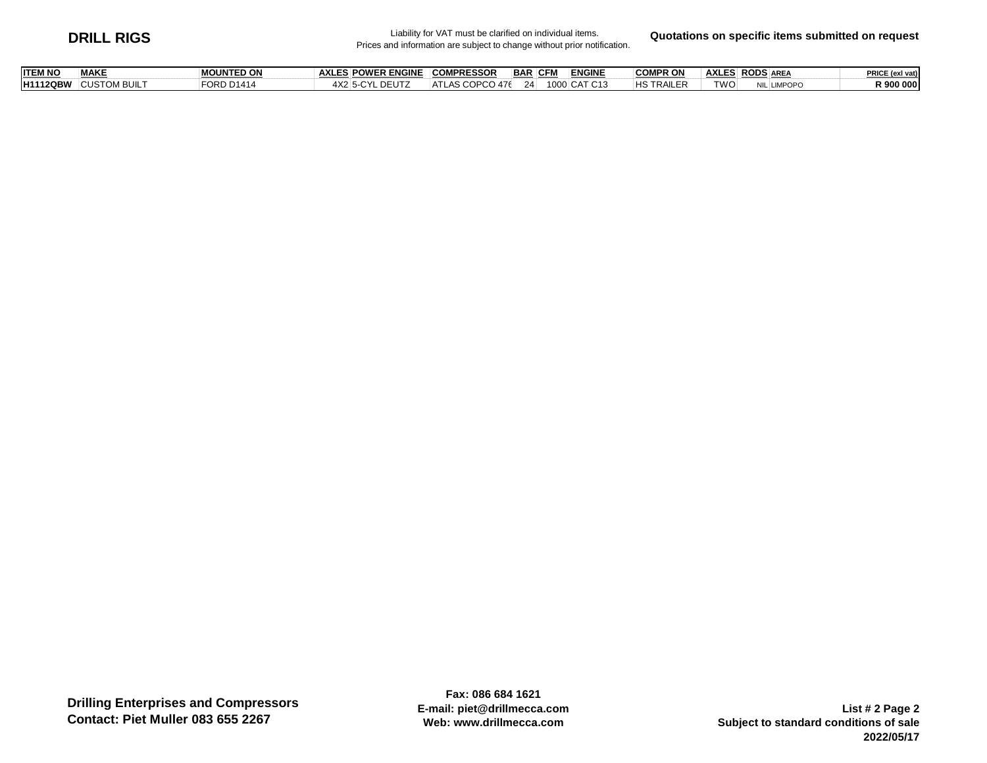## **DRILL RIGS** Liability for VAT must be clarified on individual items.<br>Prices and information are subject to change without prior notification.

**Quotations on specific items submitted on request**

| <b>TWO</b><br><b>HS TRAILER</b><br>4X2 5-CYL DEUTZ<br><b>CUSTOM BUILT</b><br>FORD D1414<br>1000 CAT C13<br><b>H1112QBW</b><br>ATLAS COPCO 476<br>24<br><b>LIMPOPC</b><br>NIL LIN | <b>ITEM NO</b> | <b>MAKE</b> | <b>MOUNTED ON</b> | <b>AXLES POWER ENGINE</b> | <b>COMPRESSOR</b> | <b>BAR</b> | <b>CFM</b> | <b>ENGINE</b> | <b>COMPR ON</b> | <b>AXLES RODS AREA</b> | PRICE (exl vat) |
|----------------------------------------------------------------------------------------------------------------------------------------------------------------------------------|----------------|-------------|-------------------|---------------------------|-------------------|------------|------------|---------------|-----------------|------------------------|-----------------|
|                                                                                                                                                                                  |                |             |                   |                           |                   |            |            |               |                 |                        | १ ९०० ०००       |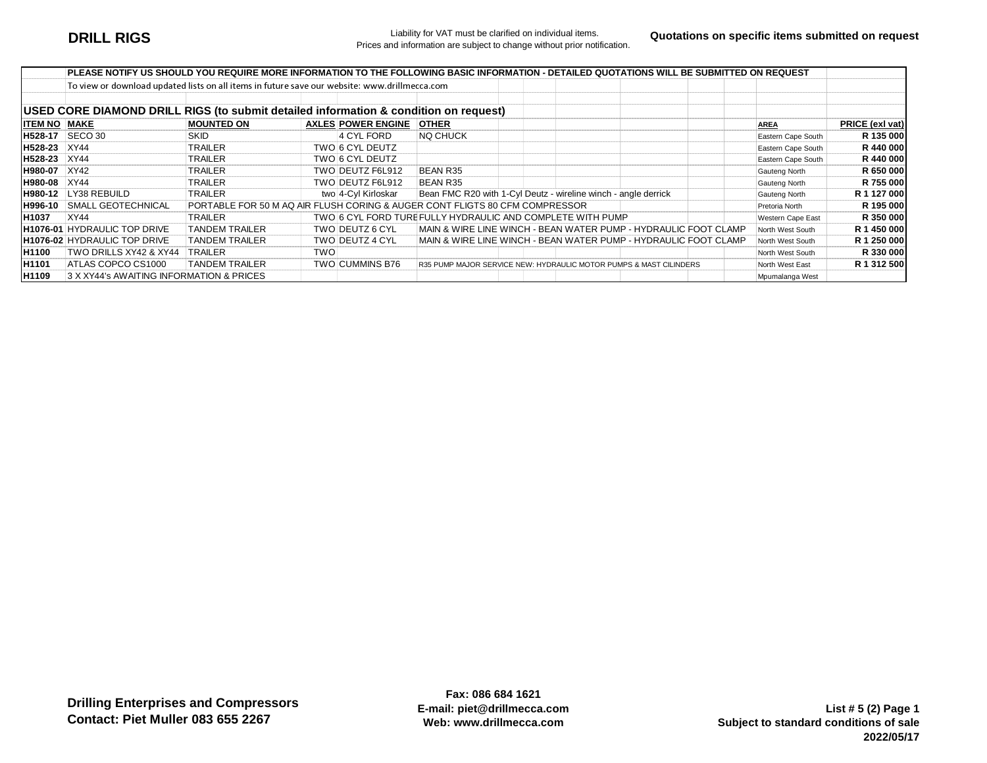|                     |                                                                                               |                                                                             |     |                           |                                                                    | PLEASE NOTIFY US SHOULD YOU REQUIRE MORE INFORMATION TO THE FOLLOWING BASIC INFORMATION - DETAILED QUOTATIONS WILL BE SUBMITTED ON REQUEST |                    |                 |
|---------------------|-----------------------------------------------------------------------------------------------|-----------------------------------------------------------------------------|-----|---------------------------|--------------------------------------------------------------------|--------------------------------------------------------------------------------------------------------------------------------------------|--------------------|-----------------|
|                     | To view or download updated lists on all items in future save our website: www.drillmecca.com |                                                                             |     |                           |                                                                    |                                                                                                                                            |                    |                 |
|                     |                                                                                               |                                                                             |     |                           |                                                                    |                                                                                                                                            |                    |                 |
|                     | USED CORE DIAMOND DRILL RIGS (to submit detailed information & condition on request)          |                                                                             |     |                           |                                                                    |                                                                                                                                            |                    |                 |
| <b>ITEM NO MAKE</b> |                                                                                               | <b>MOUNTED ON</b>                                                           |     | <b>AXLES POWER ENGINE</b> | <b>OTHER</b>                                                       |                                                                                                                                            | <b>AREA</b>        | PRICE (exl vat) |
|                     | <b>IH528-17</b> SECO 30                                                                       | <b>SKID</b>                                                                 |     | 4 CYL FORD                | <b>NQ CHUCK</b>                                                    |                                                                                                                                            | Eastern Cape South | R 135 000       |
| H528-23 XY44        |                                                                                               | TRAILER                                                                     |     | TWO 6 CYL DEUTZ           |                                                                    |                                                                                                                                            | Eastern Cape South | R 440 000       |
| H528-23 XY44        |                                                                                               | <b>TRAILER</b>                                                              |     | TWO 6 CYL DEUTZ           |                                                                    |                                                                                                                                            | Eastern Cape South | R 440 000       |
| H980-07             | <b>XY42</b>                                                                                   | <b>TRAILER</b>                                                              |     | TWO DEUTZ F6L912          | <b>BEAN R35</b>                                                    |                                                                                                                                            | Gauteng North      | R 650 000       |
| H980-08 XY44        |                                                                                               | TRAILER                                                                     |     | TWO DEUTZ F6L912          | <b>BEAN R35</b>                                                    |                                                                                                                                            | Gauteng North      | R 755 000       |
|                     | H980-12 LY38 REBUILD                                                                          | TRAILER                                                                     |     | two 4-Cyl Kirloskar       | Bean FMC R20 with 1-Cyl Deutz - wireline winch - angle derrick     |                                                                                                                                            | Gauteng North      | R 1 127 000     |
| H996-10             | SMALL GEOTECHNICAL                                                                            | PORTABLE FOR 50 M AQ AIR FLUSH CORING & AUGER CONT FLIGTS 80 CFM COMPRESSOR |     |                           |                                                                    |                                                                                                                                            | Pretoria North     | R 195 000       |
| H1037               | <b>XY44</b>                                                                                   | TRAILER                                                                     |     |                           | TWO 6 CYL FORD TURE FULLY HYDRAULIC AND COMPLETE WITH PUMP         |                                                                                                                                            | Western Cape East  | R 350 000       |
|                     | <b>H1076-01 HYDRAULIC TOP DRIVE</b>                                                           | <b>TANDEM TRAILER</b>                                                       |     | TWO DEUTZ 6 CYL           |                                                                    | MAIN & WIRE LINE WINCH - BEAN WATER PUMP - HYDRAULIC FOOT CLAMP                                                                            | North West South   | R 1 450 000     |
|                     | <b>H1076-02 HYDRAULIC TOP DRIVE</b>                                                           | <b>TANDEM TRAILER</b>                                                       |     | TWO DEUTZ 4 CYL           |                                                                    | MAIN & WIRE LINE WINCH - BEAN WATER PUMP - HYDRAULIC FOOT CLAMP                                                                            | North West South   | R 1 250 000     |
| <b>H1100</b>        | TWO DRILLS XY42 & XY44                                                                        | TRAILER                                                                     | TWO |                           |                                                                    |                                                                                                                                            | North West South   | R 330 000       |
| <b>H1101</b>        | ATLAS COPCO CS1000                                                                            | <b>TANDEM TRAILER</b>                                                       |     | <b>TWO CUMMINS B76</b>    | R35 PUMP MAJOR SERVICE NEW: HYDRAULIC MOTOR PUMPS & MAST CILINDERS |                                                                                                                                            | North West East    | R 1 312 500     |
| H1109               | 3 X XY44's AWAITING INFORMATION & PRICES                                                      |                                                                             |     |                           |                                                                    |                                                                                                                                            | Mpumalanga West    |                 |